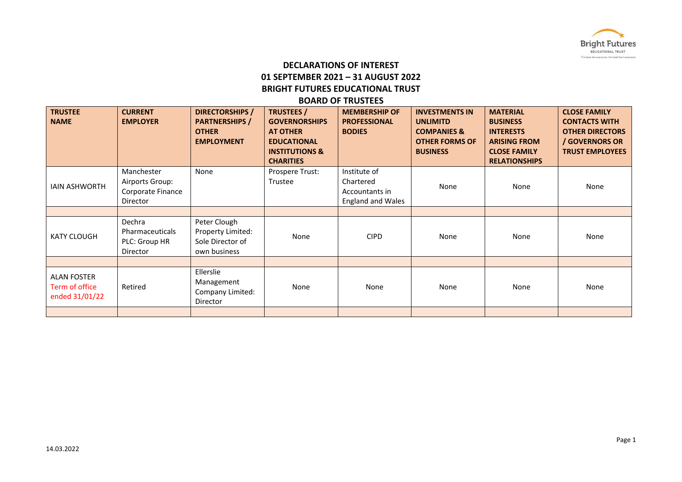

# **DECLARATIONS OF INTEREST 01 SEPTEMBER 2021 – 31 AUGUST 2022 BRIGHT FUTURES EDUCATIONAL TRUST**

### **BOARD OF TRUSTEES**

| <b>TRUSTEE</b><br><b>NAME</b>                          | <b>CURRENT</b><br><b>EMPLOYER</b>                              | <b>DIRECTORSHIPS</b> /<br><b>PARTNERSHIPS /</b><br><b>OTHER</b><br><b>EMPLOYMENT</b> | <b>TRUSTEES</b> /<br><b>GOVERNORSHIPS</b><br><b>AT OTHER</b><br><b>EDUCATIONAL</b><br><b>INSTITUTIONS &amp;</b><br><b>CHARITIES</b> | <b>MEMBERSHIP OF</b><br><b>PROFESSIONAL</b><br><b>BODIES</b>            | <b>INVESTMENTS IN</b><br><b>UNLIMITD</b><br><b>COMPANIES &amp;</b><br><b>OTHER FORMS OF</b><br><b>BUSINESS</b> | <b>MATERIAL</b><br><b>BUSINESS</b><br><b>INTERESTS</b><br><b>ARISING FROM</b><br><b>CLOSE FAMILY</b><br><b>RELATIONSHIPS</b> | <b>CLOSE FAMILY</b><br><b>CONTACTS WITH</b><br><b>OTHER DIRECTORS</b><br>/ GOVERNORS OR<br><b>TRUST EMPLOYEES</b> |
|--------------------------------------------------------|----------------------------------------------------------------|--------------------------------------------------------------------------------------|-------------------------------------------------------------------------------------------------------------------------------------|-------------------------------------------------------------------------|----------------------------------------------------------------------------------------------------------------|------------------------------------------------------------------------------------------------------------------------------|-------------------------------------------------------------------------------------------------------------------|
| <b>IAIN ASHWORTH</b>                                   | Manchester<br>Airports Group:<br>Corporate Finance<br>Director | None                                                                                 | Prospere Trust:<br>Trustee                                                                                                          | Institute of<br>Chartered<br>Accountants in<br><b>England and Wales</b> | None                                                                                                           | None                                                                                                                         | None                                                                                                              |
|                                                        |                                                                |                                                                                      |                                                                                                                                     |                                                                         |                                                                                                                |                                                                                                                              |                                                                                                                   |
| <b>KATY CLOUGH</b>                                     | Dechra<br>Pharmaceuticals<br>PLC: Group HR<br>Director         | Peter Clough<br>Property Limited:<br>Sole Director of<br>own business                | None                                                                                                                                | <b>CIPD</b>                                                             | None                                                                                                           | None                                                                                                                         | None                                                                                                              |
|                                                        |                                                                |                                                                                      |                                                                                                                                     |                                                                         |                                                                                                                |                                                                                                                              |                                                                                                                   |
| <b>ALAN FOSTER</b><br>Term of office<br>ended 31/01/22 | Retired                                                        | Ellerslie<br>Management<br>Company Limited:<br>Director                              | None                                                                                                                                | None                                                                    | None                                                                                                           | None                                                                                                                         | None                                                                                                              |
|                                                        |                                                                |                                                                                      |                                                                                                                                     |                                                                         |                                                                                                                |                                                                                                                              |                                                                                                                   |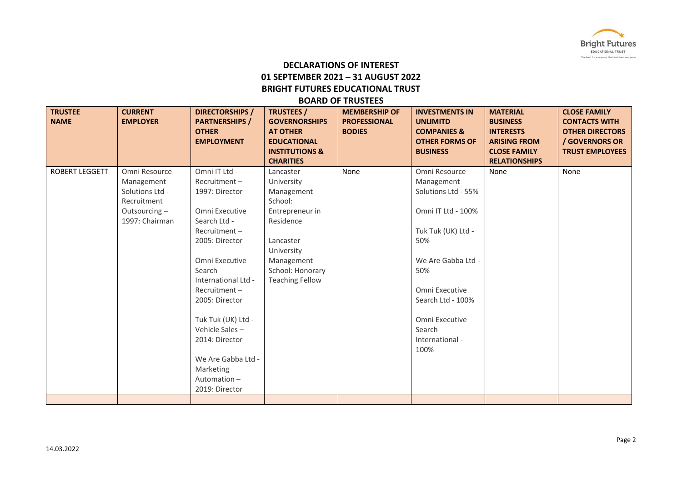

# **DECLARATIONS OF INTEREST 01 SEPTEMBER 2021 – 31 AUGUST 2022 BRIGHT FUTURES EDUCATIONAL TRUST**

#### **BOARD OF TRUSTEES**

| <b>TRUSTEE</b><br><b>NAME</b> | <b>CURRENT</b><br><b>EMPLOYER</b>                                                               | <b>DIRECTORSHIPS /</b><br><b>PARTNERSHIPS /</b><br><b>OTHER</b><br><b>EMPLOYMENT</b>                                                                                                                                                                                                                                                      | <b>TRUSTEES /</b><br><b>GOVERNORSHIPS</b><br><b>AT OTHER</b><br><b>EDUCATIONAL</b><br><b>INSTITUTIONS &amp;</b><br><b>CHARITIES</b>                                     | <b>MEMBERSHIP OF</b><br><b>PROFESSIONAL</b><br><b>BODIES</b> | <b>INVESTMENTS IN</b><br><b>UNLIMITD</b><br><b>COMPANIES &amp;</b><br><b>OTHER FORMS OF</b><br><b>BUSINESS</b>                                                                                                                   | <b>MATERIAL</b><br><b>BUSINESS</b><br><b>INTERESTS</b><br><b>ARISING FROM</b><br><b>CLOSE FAMILY</b><br><b>RELATIONSHIPS</b> | <b>CLOSE FAMILY</b><br><b>CONTACTS WITH</b><br><b>OTHER DIRECTORS</b><br>/ GOVERNORS OR<br><b>TRUST EMPLOYEES</b> |
|-------------------------------|-------------------------------------------------------------------------------------------------|-------------------------------------------------------------------------------------------------------------------------------------------------------------------------------------------------------------------------------------------------------------------------------------------------------------------------------------------|-------------------------------------------------------------------------------------------------------------------------------------------------------------------------|--------------------------------------------------------------|----------------------------------------------------------------------------------------------------------------------------------------------------------------------------------------------------------------------------------|------------------------------------------------------------------------------------------------------------------------------|-------------------------------------------------------------------------------------------------------------------|
| <b>ROBERT LEGGETT</b>         | Omni Resource<br>Management<br>Solutions Ltd -<br>Recruitment<br>Outsourcing-<br>1997: Chairman | Omni IT Ltd -<br>Recruitment-<br>1997: Director<br>Omni Executive<br>Search Ltd -<br>Recruitment-<br>2005: Director<br>Omni Executive<br>Search<br>International Ltd -<br>$Recruitment -$<br>2005: Director<br>Tuk Tuk (UK) Ltd -<br>Vehicle Sales-<br>2014: Director<br>We Are Gabba Ltd -<br>Marketing<br>Automation-<br>2019: Director | Lancaster<br>University<br>Management<br>School:<br>Entrepreneur in<br>Residence<br>Lancaster<br>University<br>Management<br>School: Honorary<br><b>Teaching Fellow</b> | None                                                         | Omni Resource<br>Management<br>Solutions Ltd - 55%<br>Omni IT Ltd - 100%<br>Tuk Tuk (UK) Ltd -<br>50%<br>We Are Gabba Ltd -<br>50%<br>Omni Executive<br>Search Ltd - 100%<br>Omni Executive<br>Search<br>International -<br>100% | None                                                                                                                         | None                                                                                                              |
|                               |                                                                                                 |                                                                                                                                                                                                                                                                                                                                           |                                                                                                                                                                         |                                                              |                                                                                                                                                                                                                                  |                                                                                                                              |                                                                                                                   |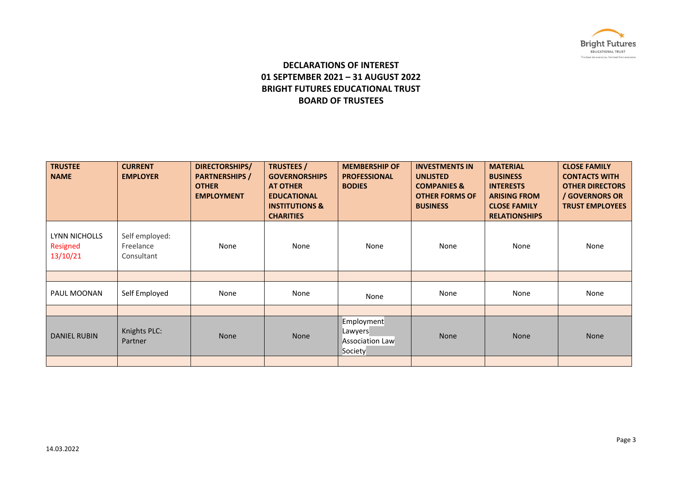

## **DECLARATIONS OF INTEREST 01 SEPTEMBER 2021 – 31 AUGUST 2022 BRIGHT FUTURES EDUCATIONAL TRUST BOARD OF TRUSTEES**

| <b>TRUSTEE</b><br><b>NAME</b>         | <b>CURRENT</b><br><b>EMPLOYER</b>         | DIRECTORSHIPS/<br><b>PARTNERSHIPS /</b><br><b>OTHER</b><br><b>EMPLOYMENT</b> | <b>TRUSTEES</b> /<br><b>GOVERNORSHIPS</b><br><b>AT OTHER</b><br><b>EDUCATIONAL</b><br><b>INSTITUTIONS &amp;</b><br><b>CHARITIES</b> | <b>MEMBERSHIP OF</b><br><b>PROFESSIONAL</b><br><b>BODIES</b> | <b>INVESTMENTS IN</b><br><b>UNLISTED</b><br><b>COMPANIES &amp;</b><br><b>OTHER FORMS OF</b><br><b>BUSINESS</b> | <b>MATERIAL</b><br><b>BUSINESS</b><br><b>INTERESTS</b><br><b>ARISING FROM</b><br><b>CLOSE FAMILY</b><br><b>RELATIONSHIPS</b> | <b>CLOSE FAMILY</b><br><b>CONTACTS WITH</b><br><b>OTHER DIRECTORS</b><br>/ GOVERNORS OR<br><b>TRUST EMPLOYEES</b> |
|---------------------------------------|-------------------------------------------|------------------------------------------------------------------------------|-------------------------------------------------------------------------------------------------------------------------------------|--------------------------------------------------------------|----------------------------------------------------------------------------------------------------------------|------------------------------------------------------------------------------------------------------------------------------|-------------------------------------------------------------------------------------------------------------------|
| LYNN NICHOLLS<br>Resigned<br>13/10/21 | Self employed:<br>Freelance<br>Consultant | None                                                                         | None                                                                                                                                | None                                                         | None                                                                                                           | None                                                                                                                         | None                                                                                                              |
|                                       |                                           |                                                                              |                                                                                                                                     |                                                              |                                                                                                                |                                                                                                                              |                                                                                                                   |
| PAUL MOONAN                           | Self Employed                             | None                                                                         | None                                                                                                                                | None                                                         | None                                                                                                           | None                                                                                                                         | None                                                                                                              |
|                                       |                                           |                                                                              |                                                                                                                                     |                                                              |                                                                                                                |                                                                                                                              |                                                                                                                   |
| <b>DANIEL RUBIN</b>                   | Knights PLC:<br>Partner                   | None                                                                         | None                                                                                                                                | Employment<br>Lawyers<br><b>Association Law</b><br>Society   | None                                                                                                           | <b>None</b>                                                                                                                  | None                                                                                                              |
|                                       |                                           |                                                                              |                                                                                                                                     |                                                              |                                                                                                                |                                                                                                                              |                                                                                                                   |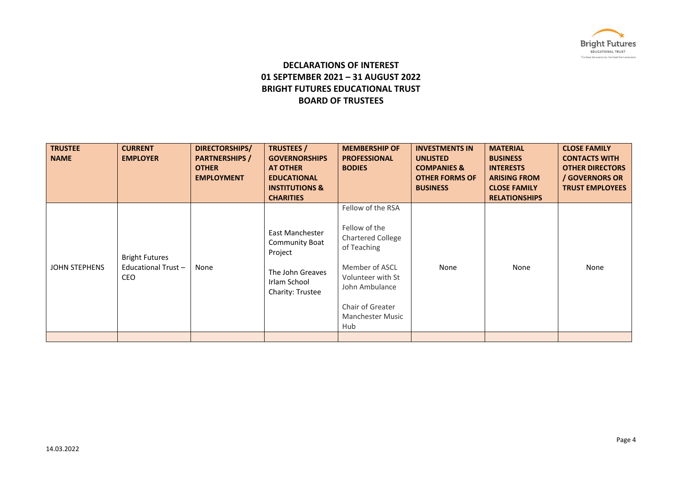

## **DECLARATIONS OF INTEREST 01 SEPTEMBER 2021 – 31 AUGUST 2022 BRIGHT FUTURES EDUCATIONAL TRUST BOARD OF TRUSTEES**

| <b>NAME</b>   | <b>EMPLOYER</b>                                           | <b>PARTNERSHIPS</b> /<br><b>OTHER</b><br><b>EMPLOYMENT</b> | <b>GOVERNORSHIPS</b><br><b>AT OTHER</b><br><b>EDUCATIONAL</b><br><b>INSTITUTIONS &amp;</b><br><b>CHARITIES</b>     | <b>PROFESSIONAL</b><br><b>BODIES</b>                                                                                                                                                         | <b>UNLISTED</b><br><b>COMPANIES &amp;</b><br><b>OTHER FORMS OF</b><br><b>BUSINESS</b> | <b>BUSINESS</b><br><b>INTERESTS</b><br><b>ARISING FROM</b><br><b>CLOSE FAMILY</b><br><b>RELATIONSHIPS</b> | <b>CONTACTS WITH</b><br><b>OTHER DIRECTORS</b><br>/ GOVERNORS OR<br><b>TRUST EMPLOYEES</b> |
|---------------|-----------------------------------------------------------|------------------------------------------------------------|--------------------------------------------------------------------------------------------------------------------|----------------------------------------------------------------------------------------------------------------------------------------------------------------------------------------------|---------------------------------------------------------------------------------------|-----------------------------------------------------------------------------------------------------------|--------------------------------------------------------------------------------------------|
| JOHN STEPHENS | <b>Bright Futures</b><br>Educational Trust-<br><b>CEO</b> | None                                                       | East Manchester<br><b>Community Boat</b><br>Project<br>The John Greaves<br>Irlam School<br><b>Charity: Trustee</b> | Fellow of the RSA<br>Fellow of the<br><b>Chartered College</b><br>of Teaching<br>Member of ASCL<br>Volunteer with St<br>John Ambulance<br>Chair of Greater<br><b>Manchester Music</b><br>Hub | None                                                                                  | None                                                                                                      | None                                                                                       |